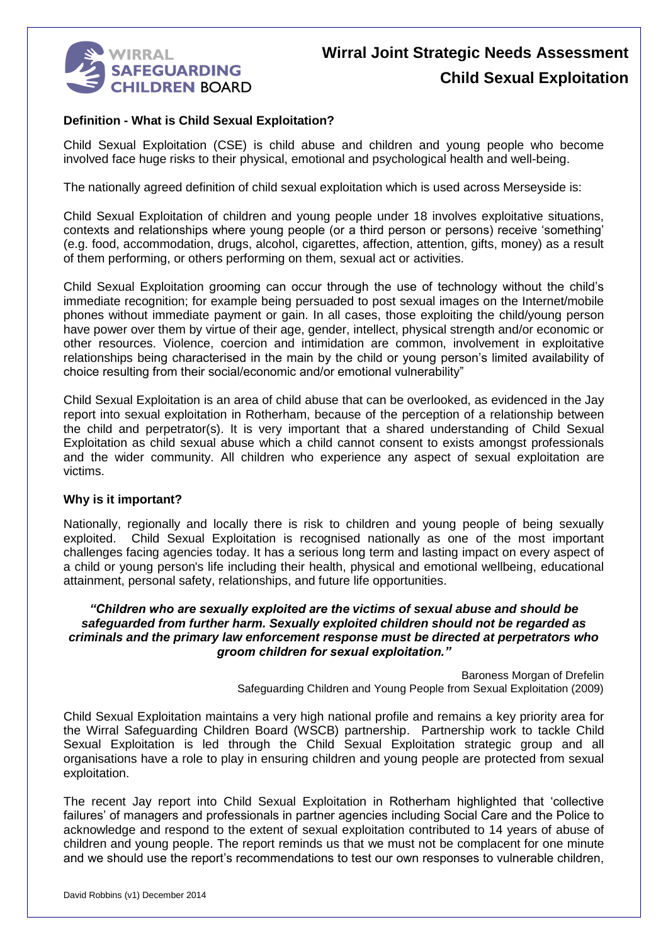

#### **Definition - What is Child Sexual Exploitation?**

Child Sexual Exploitation (CSE) is child abuse and children and young people who become involved face huge risks to their physical, emotional and psychological health and well-being.

The nationally agreed definition of child sexual exploitation which is used across Merseyside is:

Child Sexual Exploitation of children and young people under 18 involves exploitative situations, contexts and relationships where young people (or a third person or persons) receive 'something' (e.g. food, accommodation, drugs, alcohol, cigarettes, affection, attention, gifts, money) as a result of them performing, or others performing on them, sexual act or activities.

Child Sexual Exploitation grooming can occur through the use of technology without the child's immediate recognition; for example being persuaded to post sexual images on the Internet/mobile phones without immediate payment or gain. In all cases, those exploiting the child/young person have power over them by virtue of their age, gender, intellect, physical strength and/or economic or other resources. Violence, coercion and intimidation are common, involvement in exploitative relationships being characterised in the main by the child or young person's limited availability of choice resulting from their social/economic and/or emotional vulnerability"

Child Sexual Exploitation is an area of child abuse that can be overlooked, as evidenced in the Jay report into sexual exploitation in Rotherham, because of the perception of a relationship between the child and perpetrator(s). It is very important that a shared understanding of Child Sexual Exploitation as child sexual abuse which a child cannot consent to exists amongst professionals and the wider community. All children who experience any aspect of sexual exploitation are victims.

#### **Why is it important?**

Nationally, regionally and locally there is risk to children and young people of being sexually exploited. Child Sexual Exploitation is recognised nationally as one of the most important challenges facing agencies today. It has a serious long term and lasting impact on every aspect of a child or young person's life including their health, physical and emotional wellbeing, educational attainment, personal safety, relationships, and future life opportunities.

#### *"Children who are sexually exploited are the victims of sexual abuse and should be safeguarded from further harm. Sexually exploited children should not be regarded as criminals and the primary law enforcement response must be directed at perpetrators who groom children for sexual exploitation."*

Baroness Morgan of Drefelin Safeguarding Children and Young People from Sexual Exploitation (2009)

Child Sexual Exploitation maintains a very high national profile and remains a key priority area for the Wirral Safeguarding Children Board (WSCB) partnership. Partnership work to tackle Child Sexual Exploitation is led through the Child Sexual Exploitation strategic group and all organisations have a role to play in ensuring children and young people are protected from sexual exploitation.

The recent Jay report into Child Sexual Exploitation in Rotherham highlighted that 'collective failures' of managers and professionals in partner agencies including Social Care and the Police to acknowledge and respond to the extent of sexual exploitation contributed to 14 years of abuse of children and young people. The report reminds us that we must not be complacent for one minute and we should use the report's recommendations to test our own responses to vulnerable children,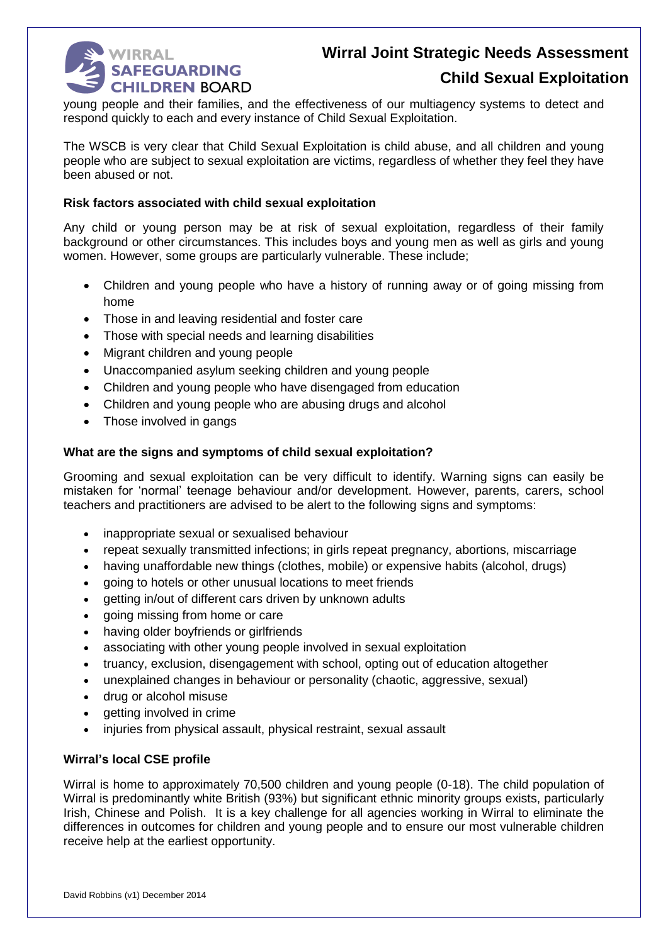

## **Child Sexual Exploitation**

young people and their families, and the effectiveness of our multiagency systems to detect and respond quickly to each and every instance of Child Sexual Exploitation.

The WSCB is very clear that Child Sexual Exploitation is child abuse, and all children and young people who are subject to sexual exploitation are victims, regardless of whether they feel they have been abused or not.

#### **Risk factors associated with child sexual exploitation**

Any child or young person may be at risk of sexual exploitation, regardless of their family background or other circumstances. This includes boys and young men as well as girls and young women. However, some groups are particularly vulnerable. These include;

- Children and young people who have a history of running away or of going missing from home
- Those in and leaving residential and foster care
- Those with special needs and learning disabilities
- Migrant children and young people
- Unaccompanied asylum seeking children and young people
- Children and young people who have disengaged from education
- Children and young people who are abusing drugs and alcohol
- Those involved in gangs

#### **What are the signs and symptoms of child sexual exploitation?**

Grooming and sexual exploitation can be very difficult to identify. Warning signs can easily be mistaken for 'normal' teenage behaviour and/or development. However, parents, carers, school teachers and practitioners are advised to be alert to the following signs and symptoms:

- inappropriate sexual or sexualised behaviour
- repeat sexually transmitted infections; in girls repeat pregnancy, abortions, miscarriage
- having unaffordable new things (clothes, mobile) or expensive habits (alcohol, drugs)
- going to hotels or other unusual locations to meet friends
- aetting in/out of different cars driven by unknown adults
- going missing from home or care
- having older boyfriends or girlfriends
- associating with other young people involved in sexual exploitation
- truancy, exclusion, disengagement with school, opting out of education altogether
- unexplained changes in behaviour or personality (chaotic, aggressive, sexual)
- drug or alcohol misuse
- getting involved in crime
- injuries from physical assault, physical restraint, sexual assault

#### **Wirral's local CSE profile**

Wirral is home to approximately 70,500 children and young people (0-18). The child population of Wirral is predominantly white British (93%) but significant ethnic minority groups exists, particularly Irish, Chinese and Polish. It is a key challenge for all agencies working in Wirral to eliminate the differences in outcomes for children and young people and to ensure our most vulnerable children receive help at the earliest opportunity.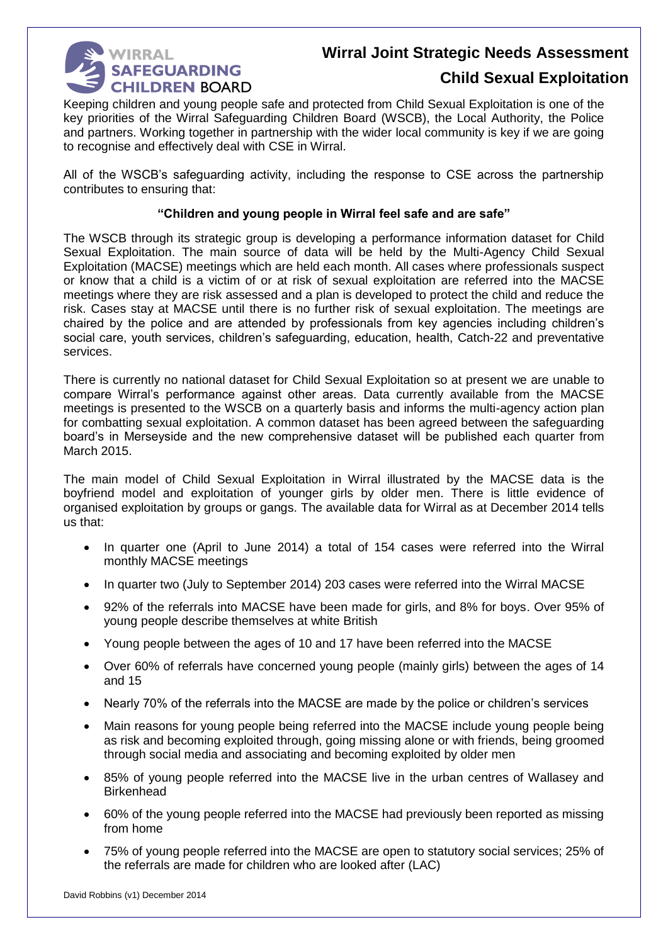

## **Child Sexual Exploitation**

Keeping children and young people safe and protected from Child Sexual Exploitation is one of the key priorities of the Wirral Safeguarding Children Board (WSCB), the Local Authority, the Police and partners. Working together in partnership with the wider local community is key if we are going to recognise and effectively deal with CSE in Wirral.

All of the WSCB's safeguarding activity, including the response to CSE across the partnership contributes to ensuring that:

#### **"Children and young people in Wirral feel safe and are safe"**

The WSCB through its strategic group is developing a performance information dataset for Child Sexual Exploitation. The main source of data will be held by the Multi-Agency Child Sexual Exploitation (MACSE) meetings which are held each month. All cases where professionals suspect or know that a child is a victim of or at risk of sexual exploitation are referred into the MACSE meetings where they are risk assessed and a plan is developed to protect the child and reduce the risk. Cases stay at MACSE until there is no further risk of sexual exploitation. The meetings are chaired by the police and are attended by professionals from key agencies including children's social care, youth services, children's safeguarding, education, health, Catch-22 and preventative services.

There is currently no national dataset for Child Sexual Exploitation so at present we are unable to compare Wirral's performance against other areas. Data currently available from the MACSE meetings is presented to the WSCB on a quarterly basis and informs the multi-agency action plan for combatting sexual exploitation. A common dataset has been agreed between the safeguarding board's in Merseyside and the new comprehensive dataset will be published each quarter from March 2015.

The main model of Child Sexual Exploitation in Wirral illustrated by the MACSE data is the boyfriend model and exploitation of younger girls by older men. There is little evidence of organised exploitation by groups or gangs. The available data for Wirral as at December 2014 tells us that:

- In quarter one (April to June 2014) a total of 154 cases were referred into the Wirral monthly MACSE meetings
- In quarter two (July to September 2014) 203 cases were referred into the Wirral MACSE
- 92% of the referrals into MACSE have been made for girls, and 8% for boys. Over 95% of young people describe themselves at white British
- Young people between the ages of 10 and 17 have been referred into the MACSE
- Over 60% of referrals have concerned young people (mainly girls) between the ages of 14 and 15
- Nearly 70% of the referrals into the MACSE are made by the police or children's services
- Main reasons for young people being referred into the MACSE include young people being as risk and becoming exploited through, going missing alone or with friends, being groomed through social media and associating and becoming exploited by older men
- 85% of young people referred into the MACSE live in the urban centres of Wallasey and **Birkenhead**
- 60% of the young people referred into the MACSE had previously been reported as missing from home
- 75% of young people referred into the MACSE are open to statutory social services; 25% of the referrals are made for children who are looked after (LAC)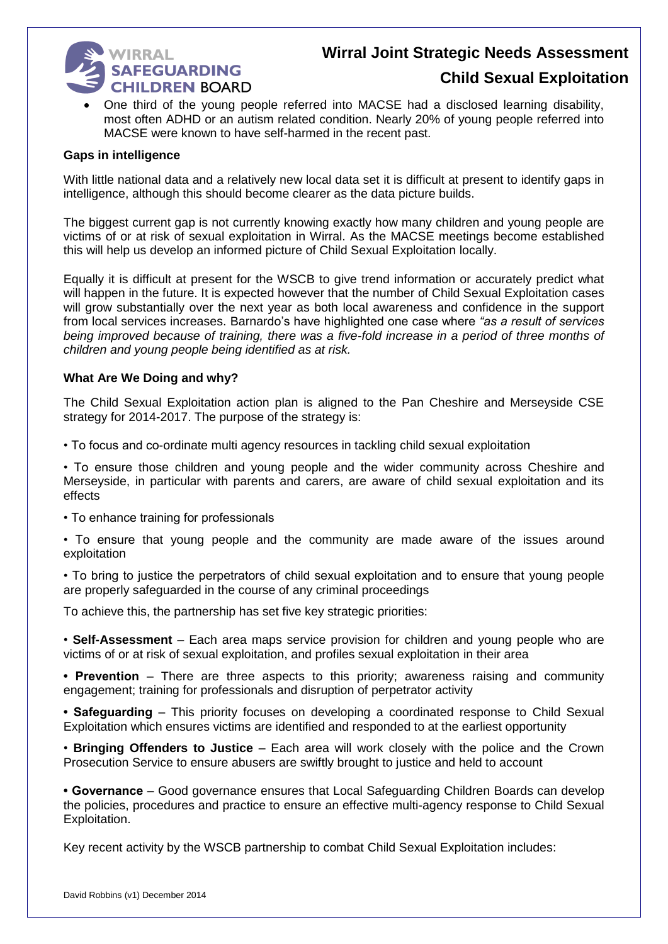

## **Child Sexual Exploitation**

 One third of the young people referred into MACSE had a disclosed learning disability, most often ADHD or an autism related condition. Nearly 20% of young people referred into MACSE were known to have self-harmed in the recent past.

#### **Gaps in intelligence**

With little national data and a relatively new local data set it is difficult at present to identify gaps in intelligence, although this should become clearer as the data picture builds.

The biggest current gap is not currently knowing exactly how many children and young people are victims of or at risk of sexual exploitation in Wirral. As the MACSE meetings become established this will help us develop an informed picture of Child Sexual Exploitation locally.

Equally it is difficult at present for the WSCB to give trend information or accurately predict what will happen in the future. It is expected however that the number of Child Sexual Exploitation cases will grow substantially over the next year as both local awareness and confidence in the support from local services increases. Barnardo's have highlighted one case where *"as a result of services being improved because of training, there was a five-fold increase in a period of three months of children and young people being identified as at risk.*

#### **What Are We Doing and why?**

The Child Sexual Exploitation action plan is aligned to the Pan Cheshire and Merseyside CSE strategy for 2014-2017. The purpose of the strategy is:

• To focus and co-ordinate multi agency resources in tackling child sexual exploitation

• To ensure those children and young people and the wider community across Cheshire and Merseyside, in particular with parents and carers, are aware of child sexual exploitation and its effects

• To enhance training for professionals

• To ensure that young people and the community are made aware of the issues around exploitation

• To bring to justice the perpetrators of child sexual exploitation and to ensure that young people are properly safeguarded in the course of any criminal proceedings

To achieve this, the partnership has set five key strategic priorities:

• **Self-Assessment** – Each area maps service provision for children and young people who are victims of or at risk of sexual exploitation, and profiles sexual exploitation in their area

**• Prevention** – There are three aspects to this priority; awareness raising and community engagement; training for professionals and disruption of perpetrator activity

**• Safeguarding** – This priority focuses on developing a coordinated response to Child Sexual Exploitation which ensures victims are identified and responded to at the earliest opportunity

• **Bringing Offenders to Justice** – Each area will work closely with the police and the Crown Prosecution Service to ensure abusers are swiftly brought to justice and held to account

**• Governance** – Good governance ensures that Local Safeguarding Children Boards can develop the policies, procedures and practice to ensure an effective multi-agency response to Child Sexual Exploitation.

Key recent activity by the WSCB partnership to combat Child Sexual Exploitation includes: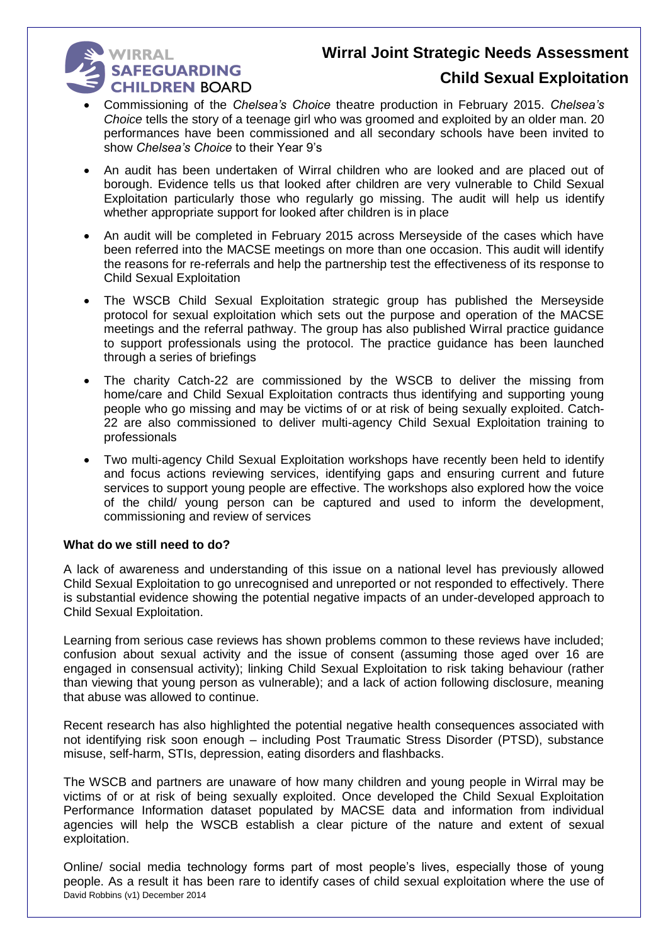# **WIRRAL WIRRAL<br>SAFEGUARDING CHILDREN BOARD**

## **Child Sexual Exploitation**

- Commissioning of the *Chelsea's Choice* theatre production in February 2015. *Chelsea's Choice* tells the story of a teenage girl who was groomed and exploited by an older man. 20 performances have been commissioned and all secondary schools have been invited to show *Chelsea's Choice* to their Year 9's
- An audit has been undertaken of Wirral children who are looked and are placed out of borough. Evidence tells us that looked after children are very vulnerable to Child Sexual Exploitation particularly those who regularly go missing. The audit will help us identify whether appropriate support for looked after children is in place
- An audit will be completed in February 2015 across Merseyside of the cases which have been referred into the MACSE meetings on more than one occasion. This audit will identify the reasons for re-referrals and help the partnership test the effectiveness of its response to Child Sexual Exploitation
- The WSCB Child Sexual Exploitation strategic group has published the Merseyside protocol for sexual exploitation which sets out the purpose and operation of the MACSE meetings and the referral pathway. The group has also published Wirral practice guidance to support professionals using the protocol. The practice guidance has been launched through a series of briefings
- The charity Catch-22 are commissioned by the WSCB to deliver the missing from home/care and Child Sexual Exploitation contracts thus identifying and supporting young people who go missing and may be victims of or at risk of being sexually exploited. Catch-22 are also commissioned to deliver multi-agency Child Sexual Exploitation training to professionals
- Two multi-agency Child Sexual Exploitation workshops have recently been held to identify and focus actions reviewing services, identifying gaps and ensuring current and future services to support young people are effective. The workshops also explored how the voice of the child/ young person can be captured and used to inform the development, commissioning and review of services

#### **What do we still need to do?**

A lack of awareness and understanding of this issue on a national level has previously allowed Child Sexual Exploitation to go unrecognised and unreported or not responded to effectively. There is substantial evidence showing the potential negative impacts of an under-developed approach to Child Sexual Exploitation.

Learning from serious case reviews has shown problems common to these reviews have included; confusion about sexual activity and the issue of consent (assuming those aged over 16 are engaged in consensual activity); linking Child Sexual Exploitation to risk taking behaviour (rather than viewing that young person as vulnerable); and a lack of action following disclosure, meaning that abuse was allowed to continue.

Recent research has also highlighted the potential negative health consequences associated with not identifying risk soon enough – including Post Traumatic Stress Disorder (PTSD), substance misuse, self-harm, STIs, depression, eating disorders and flashbacks.

The WSCB and partners are unaware of how many children and young people in Wirral may be victims of or at risk of being sexually exploited. Once developed the Child Sexual Exploitation Performance Information dataset populated by MACSE data and information from individual agencies will help the WSCB establish a clear picture of the nature and extent of sexual exploitation.

David Robbins (v1) December 2014 Online/ social media technology forms part of most people's lives, especially those of young people. As a result it has been rare to identify cases of child sexual exploitation where the use of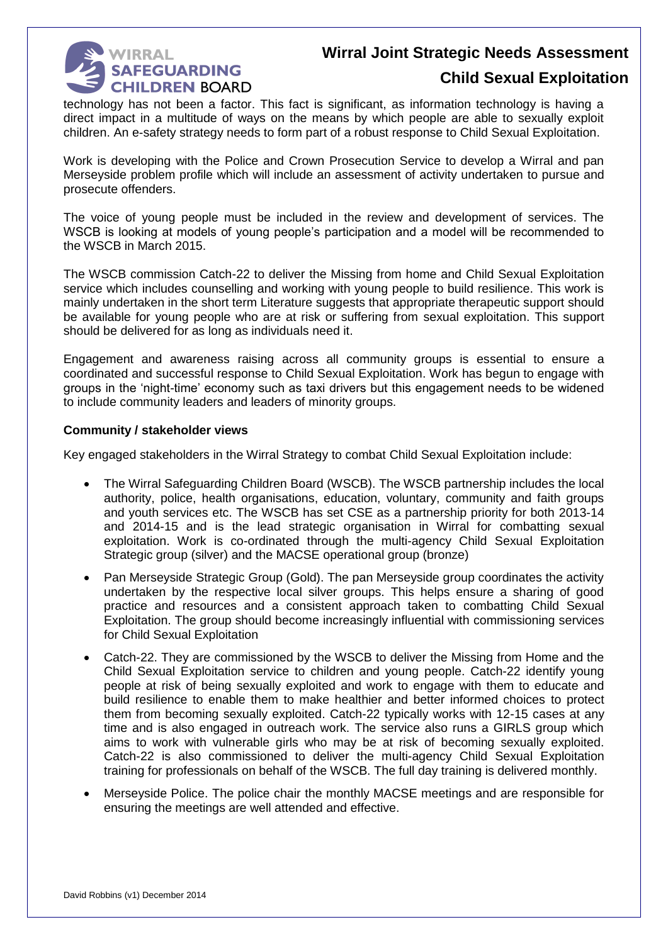

## **Child Sexual Exploitation**

technology has not been a factor. This fact is significant, as information technology is having a direct impact in a multitude of ways on the means by which people are able to sexually exploit children. An e-safety strategy needs to form part of a robust response to Child Sexual Exploitation.

Work is developing with the Police and Crown Prosecution Service to develop a Wirral and pan Merseyside problem profile which will include an assessment of activity undertaken to pursue and prosecute offenders.

The voice of young people must be included in the review and development of services. The WSCB is looking at models of young people's participation and a model will be recommended to the WSCB in March 2015.

The WSCB commission Catch-22 to deliver the Missing from home and Child Sexual Exploitation service which includes counselling and working with young people to build resilience. This work is mainly undertaken in the short term Literature suggests that appropriate therapeutic support should be available for young people who are at risk or suffering from sexual exploitation. This support should be delivered for as long as individuals need it.

Engagement and awareness raising across all community groups is essential to ensure a coordinated and successful response to Child Sexual Exploitation. Work has begun to engage with groups in the 'night-time' economy such as taxi drivers but this engagement needs to be widened to include community leaders and leaders of minority groups.

#### **Community / stakeholder views**

Key engaged stakeholders in the Wirral Strategy to combat Child Sexual Exploitation include:

- The Wirral Safeguarding Children Board (WSCB). The WSCB partnership includes the local authority, police, health organisations, education, voluntary, community and faith groups and youth services etc. The WSCB has set CSE as a partnership priority for both 2013-14 and 2014-15 and is the lead strategic organisation in Wirral for combatting sexual exploitation. Work is co-ordinated through the multi-agency Child Sexual Exploitation Strategic group (silver) and the MACSE operational group (bronze)
- Pan Merseyside Strategic Group (Gold). The pan Merseyside group coordinates the activity undertaken by the respective local silver groups. This helps ensure a sharing of good practice and resources and a consistent approach taken to combatting Child Sexual Exploitation. The group should become increasingly influential with commissioning services for Child Sexual Exploitation
- Catch-22. They are commissioned by the WSCB to deliver the Missing from Home and the Child Sexual Exploitation service to children and young people. Catch-22 identify young people at risk of being sexually exploited and work to engage with them to educate and build resilience to enable them to make healthier and better informed choices to protect them from becoming sexually exploited. Catch-22 typically works with 12-15 cases at any time and is also engaged in outreach work. The service also runs a GIRLS group which aims to work with vulnerable girls who may be at risk of becoming sexually exploited. Catch-22 is also commissioned to deliver the multi-agency Child Sexual Exploitation training for professionals on behalf of the WSCB. The full day training is delivered monthly.
- Merseyside Police. The police chair the monthly MACSE meetings and are responsible for ensuring the meetings are well attended and effective.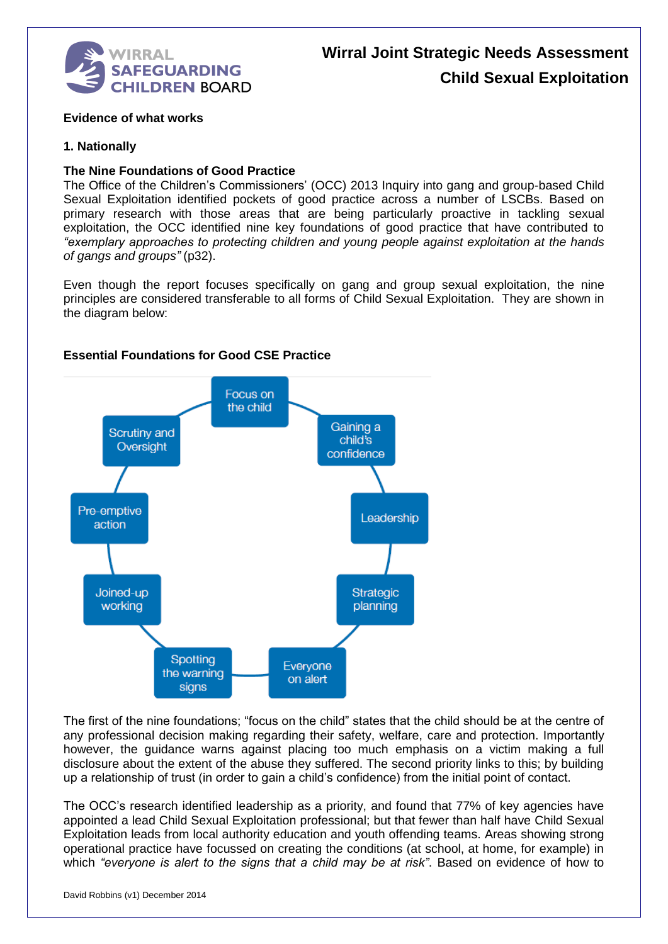

#### **Evidence of what works**

#### **1. Nationally**

#### **The Nine Foundations of Good Practice**

The Office of the Children's Commissioners' (OCC) 2013 Inquiry into gang and group-based Child Sexual Exploitation identified pockets of good practice across a number of LSCBs. Based on primary research with those areas that are being particularly proactive in tackling sexual exploitation, the OCC identified nine key foundations of good practice that have contributed to *"exemplary approaches to protecting children and young people against exploitation at the hands of gangs and groups"* (p32).

Even though the report focuses specifically on gang and group sexual exploitation, the nine principles are considered transferable to all forms of Child Sexual Exploitation. They are shown in the diagram below:



#### **Essential Foundations for Good CSE Practice**

The first of the nine foundations; "focus on the child" states that the child should be at the centre of any professional decision making regarding their safety, welfare, care and protection. Importantly however, the guidance warns against placing too much emphasis on a victim making a full disclosure about the extent of the abuse they suffered. The second priority links to this; by building up a relationship of trust (in order to gain a child's confidence) from the initial point of contact.

The OCC's research identified leadership as a priority, and found that 77% of key agencies have appointed a lead Child Sexual Exploitation professional; but that fewer than half have Child Sexual Exploitation leads from local authority education and youth offending teams. Areas showing strong operational practice have focussed on creating the conditions (at school, at home, for example) in which *"everyone is alert to the signs that a child may be at risk"*. Based on evidence of how to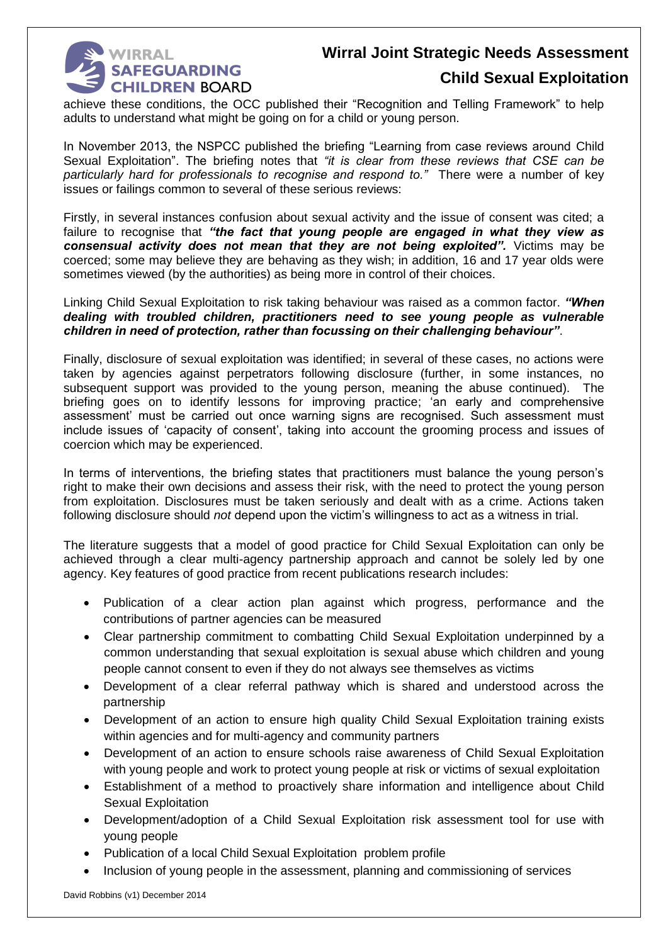

## **Child Sexual Exploitation**

achieve these conditions, the OCC published their "Recognition and Telling Framework" to help adults to understand what might be going on for a child or young person.

In November 2013, the NSPCC published the briefing "Learning from case reviews around Child Sexual Exploitation". The briefing notes that *"it is clear from these reviews that CSE can be particularly hard for professionals to recognise and respond to."* There were a number of key issues or failings common to several of these serious reviews:

Firstly, in several instances confusion about sexual activity and the issue of consent was cited; a failure to recognise that *"the fact that young people are engaged in what they view as consensual activity does not mean that they are not being exploited".* Victims may be coerced; some may believe they are behaving as they wish; in addition, 16 and 17 year olds were sometimes viewed (by the authorities) as being more in control of their choices.

Linking Child Sexual Exploitation to risk taking behaviour was raised as a common factor. *"When dealing with troubled children, practitioners need to see young people as vulnerable children in need of protection, rather than focussing on their challenging behaviour"*.

Finally, disclosure of sexual exploitation was identified; in several of these cases, no actions were taken by agencies against perpetrators following disclosure (further, in some instances, no subsequent support was provided to the young person, meaning the abuse continued). The briefing goes on to identify lessons for improving practice; 'an early and comprehensive assessment' must be carried out once warning signs are recognised. Such assessment must include issues of 'capacity of consent', taking into account the grooming process and issues of coercion which may be experienced.

In terms of interventions, the briefing states that practitioners must balance the young person's right to make their own decisions and assess their risk, with the need to protect the young person from exploitation. Disclosures must be taken seriously and dealt with as a crime. Actions taken following disclosure should *not* depend upon the victim's willingness to act as a witness in trial.

The literature suggests that a model of good practice for Child Sexual Exploitation can only be achieved through a clear multi-agency partnership approach and cannot be solely led by one agency. Key features of good practice from recent publications research includes:

- Publication of a clear action plan against which progress, performance and the contributions of partner agencies can be measured
- Clear partnership commitment to combatting Child Sexual Exploitation underpinned by a common understanding that sexual exploitation is sexual abuse which children and young people cannot consent to even if they do not always see themselves as victims
- Development of a clear referral pathway which is shared and understood across the partnership
- Development of an action to ensure high quality Child Sexual Exploitation training exists within agencies and for multi-agency and community partners
- Development of an action to ensure schools raise awareness of Child Sexual Exploitation with young people and work to protect young people at risk or victims of sexual exploitation
- Establishment of a method to proactively share information and intelligence about Child Sexual Exploitation
- Development/adoption of a Child Sexual Exploitation risk assessment tool for use with young people
- Publication of a local Child Sexual Exploitation problem profile
- Inclusion of young people in the assessment, planning and commissioning of services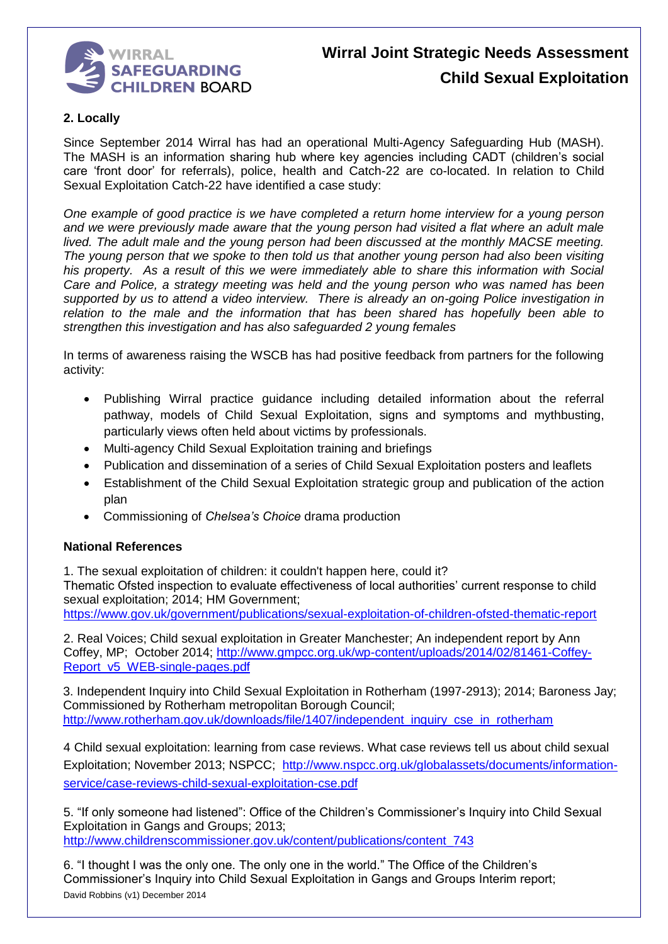

#### **2. Locally**

Since September 2014 Wirral has had an operational Multi-Agency Safeguarding Hub (MASH). The MASH is an information sharing hub where key agencies including CADT (children's social care 'front door' for referrals), police, health and Catch-22 are co-located. In relation to Child Sexual Exploitation Catch-22 have identified a case study:

*One example of good practice is we have completed a return home interview for a young person and we were previously made aware that the young person had visited a flat where an adult male lived. The adult male and the young person had been discussed at the monthly MACSE meeting. The young person that we spoke to then told us that another young person had also been visiting his property. As a result of this we were immediately able to share this information with Social Care and Police, a strategy meeting was held and the young person who was named has been supported by us to attend a video interview. There is already an on-going Police investigation in relation to the male and the information that has been shared has hopefully been able to strengthen this investigation and has also safeguarded 2 young females*

In terms of awareness raising the WSCB has had positive feedback from partners for the following activity:

- Publishing Wirral practice guidance including detailed information about the referral pathway, models of Child Sexual Exploitation, signs and symptoms and mythbusting, particularly views often held about victims by professionals.
- Multi-agency Child Sexual Exploitation training and briefings
- Publication and dissemination of a series of Child Sexual Exploitation posters and leaflets
- Establishment of the Child Sexual Exploitation strategic group and publication of the action plan
- Commissioning of *Chelsea's Choice* drama production

#### **National References**

1. The sexual exploitation of children: it couldn't happen here, could it?

Thematic Ofsted inspection to evaluate effectiveness of local authorities' current response to child sexual exploitation; 2014; HM Government;

<https://www.gov.uk/government/publications/sexual-exploitation-of-children-ofsted-thematic-report>

2. Real Voices; Child sexual exploitation in Greater Manchester; An independent report by Ann Coffey, MP; October 2014; [http://www.gmpcc.org.uk/wp-content/uploads/2014/02/81461-Coffey-](http://www.gmpcc.org.uk/wp-content/uploads/2014/02/81461-Coffey-Report_v5_WEB-single-pages.pdf)[Report\\_v5\\_WEB-single-pages.pdf](http://www.gmpcc.org.uk/wp-content/uploads/2014/02/81461-Coffey-Report_v5_WEB-single-pages.pdf)

3. Independent Inquiry into Child Sexual Exploitation in Rotherham (1997-2913); 2014; Baroness Jay; Commissioned by Rotherham metropolitan Borough Council; [http://www.rotherham.gov.uk/downloads/file/1407/independent\\_inquiry\\_cse\\_in\\_rotherham](http://www.rotherham.gov.uk/downloads/file/1407/independent_inquiry_cse_in_rotherham)

4 Child sexual exploitation: learning from case reviews. What case reviews tell us about child sexual Exploitation; November 2013; NSPCC; [http://www.nspcc.org.uk/globalassets/documents/information](http://www.nspcc.org.uk/globalassets/documents/information-service/case-reviews-child-sexual-exploitation-cse.pdf)[service/case-reviews-child-sexual-exploitation-cse.pdf](http://www.nspcc.org.uk/globalassets/documents/information-service/case-reviews-child-sexual-exploitation-cse.pdf)

5. "If only someone had listened": Office of the Children's Commissioner's Inquiry into Child Sexual Exploitation in Gangs and Groups; 2013; [http://www.childrenscommissioner.gov.uk/content/publications/content\\_743](http://www.childrenscommissioner.gov.uk/content/publications/content_743)

David Robbins (v1) December 2014 6. "I thought I was the only one. The only one in the world." The Office of the Children's Commissioner's Inquiry into Child Sexual Exploitation in Gangs and Groups Interim report;